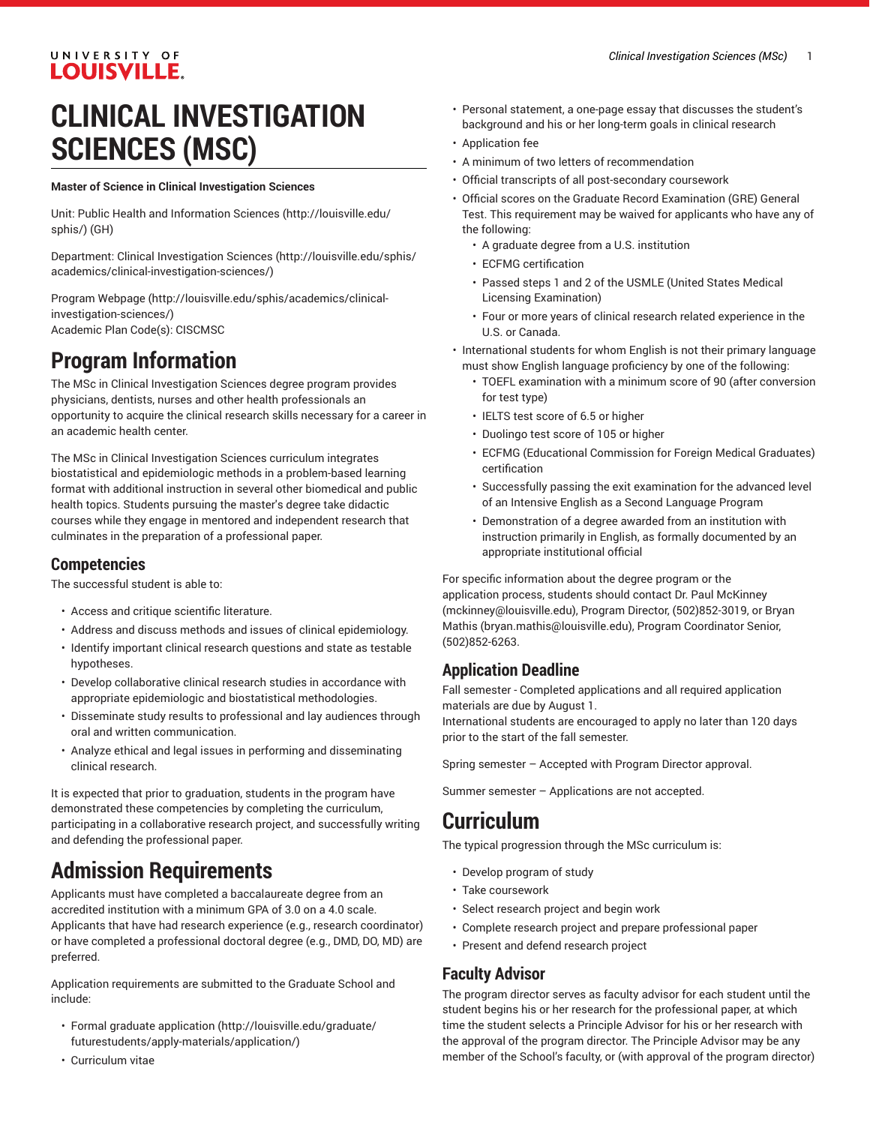### UNIVERSITY OF **LOUISVILLE.**

# **CLINICAL INVESTIGATION SCIENCES (MSC)**

#### **Master of Science in Clinical Investigation Sciences**

Unit: [Public Health and Information Sciences](http://louisville.edu/sphis/) ([http://louisville.edu/](http://louisville.edu/sphis/) [sphis/\)](http://louisville.edu/sphis/) (GH)

Department: Clinical [Investigation](http://louisville.edu/sphis/academics/clinical-investigation-sciences/) Sciences ([http://louisville.edu/sphis/](http://louisville.edu/sphis/academics/clinical-investigation-sciences/) [academics/clinical-investigation-sciences/\)](http://louisville.edu/sphis/academics/clinical-investigation-sciences/)

Program [Webpage](http://louisville.edu/sphis/academics/clinical-investigation-sciences/) [\(http://louisville.edu/sphis/academics/clinical](http://louisville.edu/sphis/academics/clinical-investigation-sciences/)[investigation-sciences/\)](http://louisville.edu/sphis/academics/clinical-investigation-sciences/) Academic Plan Code(s): CISCMSC

## **Program Information**

The MSc in Clinical Investigation Sciences degree program provides physicians, dentists, nurses and other health professionals an opportunity to acquire the clinical research skills necessary for a career in an academic health center.

The MSc in Clinical Investigation Sciences curriculum integrates biostatistical and epidemiologic methods in a problem-based learning format with additional instruction in several other biomedical and public health topics. Students pursuing the master's degree take didactic courses while they engage in mentored and independent research that culminates in the preparation of a professional paper.

#### **Competencies**

The successful student is able to:

- Access and critique scientific literature.
- Address and discuss methods and issues of clinical epidemiology.
- Identify important clinical research questions and state as testable hypotheses.
- Develop collaborative clinical research studies in accordance with appropriate epidemiologic and biostatistical methodologies.
- Disseminate study results to professional and lay audiences through oral and written communication.
- Analyze ethical and legal issues in performing and disseminating clinical research.

It is expected that prior to graduation, students in the program have demonstrated these competencies by completing the curriculum, participating in a collaborative research project, and successfully writing and defending the professional paper.

## **Admission Requirements**

Applicants must have completed a baccalaureate degree from an accredited institution with a minimum GPA of 3.0 on a 4.0 scale. Applicants that have had research experience (e.g., research coordinator) or have completed a professional doctoral degree (e.g., DMD, DO, MD) are preferred.

Application requirements are submitted to the Graduate School and include:

- Formal [graduate application](http://louisville.edu/graduate/futurestudents/apply-materials/application/) ([http://louisville.edu/graduate/](http://louisville.edu/graduate/futurestudents/apply-materials/application/) [futurestudents/apply-materials/application/\)](http://louisville.edu/graduate/futurestudents/apply-materials/application/)
- Curriculum vitae
- Personal statement, a one-page essay that discusses the student's background and his or her long-term goals in clinical research
- Application fee
- A minimum of two letters of recommendation
- Official transcripts of all post-secondary coursework
- Official scores on the Graduate Record Examination (GRE) General Test. This requirement may be waived for applicants who have any of the following:
	- A graduate degree from a U.S. institution
	- ECFMG certification
	- Passed steps 1 and 2 of the USMLE (United States Medical Licensing Examination)
	- Four or more years of clinical research related experience in the U.S. or Canada.
- International students for whom English is not their primary language must show English language proficiency by one of the following:
	- TOEFL examination with a minimum score of 90 (after conversion for test type)
	- IELTS test score of 6.5 or higher
	- Duolingo test score of 105 or higher
	- ECFMG (Educational Commission for Foreign Medical Graduates) certification
	- Successfully passing the exit examination for the advanced level of an Intensive English as a Second Language Program
	- Demonstration of a degree awarded from an institution with instruction primarily in English, as formally documented by an appropriate institutional official

For specific information about the degree program or the application process, students should contact Dr. Paul [McKinney](mailto:mckinney@louisville.edu) [\(mckinney@louisville.edu\)](mckinney@louisville.edu), Program Director, (502)852-3019, or [Bryan](mailto:bryan.mathis@louisville.edu) [Mathis](mailto:bryan.mathis@louisville.edu) (<bryan.mathis@louisville.edu>), Program Coordinator Senior, (502)852-6263.

### **Application Deadline**

Fall semester - Completed applications and all required application materials are due by August 1.

International students are encouraged to apply no later than 120 days prior to the start of the fall semester.

Spring semester – Accepted with Program Director approval.

Summer semester – Applications are not accepted.

## **Curriculum**

The typical progression through the MSc curriculum is:

- Develop program of study
- Take coursework
- Select research project and begin work
- Complete research project and prepare professional paper
- Present and defend research project

#### **Faculty Advisor**

The program director serves as faculty advisor for each student until the student begins his or her research for the professional paper, at which time the student selects a Principle Advisor for his or her research with the approval of the program director. The Principle Advisor may be any member of the School's faculty, or (with approval of the program director)